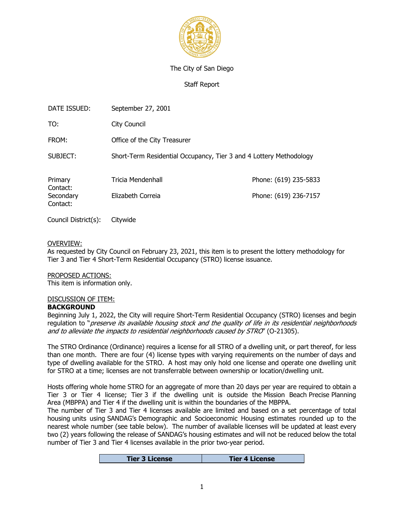

## The City of San Diego

Staff Report

| DATE ISSUED:          | September 27, 2001                                                 |                       |  |  |  |
|-----------------------|--------------------------------------------------------------------|-----------------------|--|--|--|
| TO:                   | City Council                                                       |                       |  |  |  |
| FROM:                 | Office of the City Treasurer                                       |                       |  |  |  |
| SUBJECT:              | Short-Term Residential Occupancy, Tier 3 and 4 Lottery Methodology |                       |  |  |  |
| Primary<br>Contact:   | Tricia Mendenhall                                                  | Phone: (619) 235-5833 |  |  |  |
| Secondary<br>Contact: | Elizabeth Correia                                                  | Phone: (619) 236-7157 |  |  |  |

Council District(s): Citywide

#### OVERVIEW:

As requested by City Council on February 23, 2021, this item is to present the lottery methodology for Tier 3 and Tier 4 Short-Term Residential Occupancy (STRO) license issuance.

## PROPOSED ACTIONS:

This item is information only.

# DISCUSSION OF ITEM:

**BACKGROUND**

Beginning July 1, 2022, the City will require Short-Term Residential Occupancy (STRO) licenses and begin regulation to "*preserve its available housing stock and the quality of life in its residential neighborhoods and to alleviate the impacts to residential neighborhoods caused by STRO*" (O-21305).

The STRO Ordinance (Ordinance) requires a license for all STRO of a dwelling unit, or part thereof, for less than one month. There are four (4) license types with varying requirements on the number of days and type of dwelling available for the STRO. A host may only hold one license and operate one dwelling unit for STRO at a time; licenses are not transferrable between ownership or location/dwelling unit.

Hosts offering whole home STRO for an aggregate of more than 20 days per year are required to obtain a Tier 3 or Tier 4 license; Tier 3 if the dwelling unit is outside the [Mission Beach Precise Planning](https://www.sandiego.gov/sites/default/files/mbpp_full_04_02_18.pdf%22%20/)  [Area](https://www.sandiego.gov/sites/default/files/mbpp_full_04_02_18.pdf%22%20/) (MBPPA) and Tier 4 if the dwelling unit is within the boundaries of the MBPPA.

The number of Tier 3 and Tier 4 licenses available are limited and based on a set percentage of total housing units using SANDAG's Demographic and Socioeconomic Housing estimates rounded up to the nearest whole number (see table below). The number of available licenses will be updated at least every two (2) years following the release of SANDAG's housing estimates and will not be reduced below the total number of Tier 3 and Tier 4 licenses available in the prior two-year period.

| <b>Tier 3 License</b> | <b>Tier 4 License</b> |
|-----------------------|-----------------------|
|                       |                       |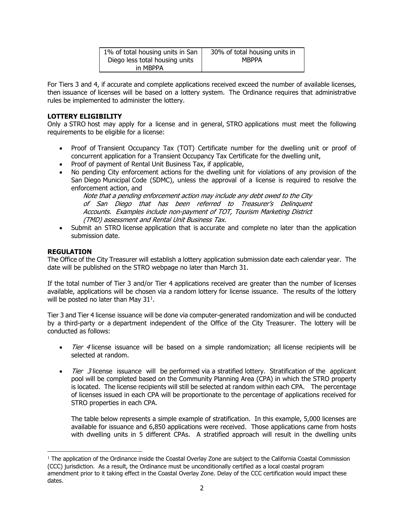| 1% of total housing units in San | 30% of total housing units in |  |  |
|----------------------------------|-------------------------------|--|--|
| Diego less total housing units   | <b>MBPPA</b>                  |  |  |
| in MBPPA                         |                               |  |  |

For Tiers 3 and 4, if accurate and complete applications received exceed the number of available licenses, then issuance of licenses will be based on a lottery system. The Ordinance requires that administrative rules be implemented to administer the lottery.

# **LOTTERY ELIGIBILITY**

Only a STRO host may apply for a license and in general, STRO applications must meet the following requirements to be eligible for a license:

- Proof of Transient Occupancy Tax (TOT) Certificate number for the dwelling unit or proof of concurrent application for a Transient Occupancy Tax Certificate for the dwelling unit,
- Proof of payment of Rental Unit Business Tax, if applicable,
- No pending City enforcement actions for the dwelling unit for violations of any provision of the San Diego Municipal Code (SDMC), unless the approval of a license is required to resolve the enforcement action, and

*Note that a pending enforcement action may include any debt owed to the City of San Diego that has been referred to Treasurer's Delinquent Accounts. Examples include non-payment of TOT, Tourism Marketing District (TMD) assessment and Rental Unit Business Tax.* 

• Submit an STRO license application that is accurate and complete no later than the application submission date.

# **REGULATION**

The Office of the City Treasurer will establish a lottery application submission date each calendar year. The date will be published on the STRO webpage no later than March 31.

If the total number of Tier 3 and/or Tier 4 applications received are greater than the number of licenses available, applications will be chosen via a random lottery for license issuance. The results of the lottery will be posted no later than May  $31<sup>1</sup>$ .

Tier 3 and Tier 4 license issuance will be done via computer-generated randomization and will be conducted by a third-party or a department independent of the Office of the City Treasurer. The lottery will be conducted as follows:

- *Tier 4* license issuance will be based on a simple randomization; all license recipients will be selected at random.
- *Tier 3* license issuance will be performed via a stratified lottery. Stratification of the applicant pool will be completed based on the Community Planning Area (CPA) in which the STRO property is located. The license recipients will still be selected at random within each CPA. The percentage of licenses issued in each CPA will be proportionate to the percentage of applications received for STRO properties in each CPA.

The table below represents a simple example of stratification. In this example, 5,000 licenses are available for issuance and 6,850 applications were received. Those applications came from hosts with dwelling units in 5 different CPAs. A stratified approach will result in the dwelling units

<sup>&</sup>lt;sup>1</sup> The application of the Ordinance inside the Coastal Overlay Zone are subject to the California Coastal Commission (CCC) jurisdiction. As a result, the Ordinance must be unconditionally certified as a local coastal program amendment prior to it taking effect in the Coastal Overlay Zone. Delay of the CCC certification would impact these dates.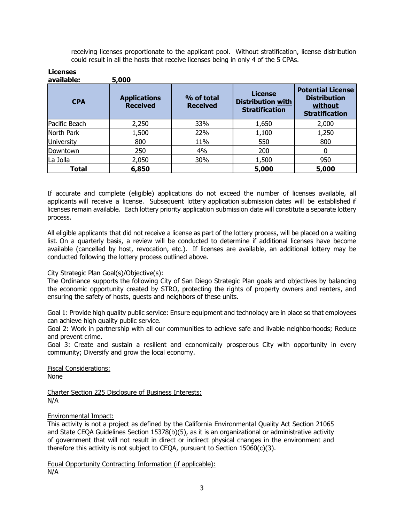receiving licenses proportionate to the applicant pool. Without stratification, license distribution could result in all the hosts that receive licenses being in only 4 of the 5 CPAs.

| LILEIISES<br>available: | 5,000                                  |                               |                                                                     |                                                                                     |
|-------------------------|----------------------------------------|-------------------------------|---------------------------------------------------------------------|-------------------------------------------------------------------------------------|
| <b>CPA</b>              | <b>Applications</b><br><b>Received</b> | % of total<br><b>Received</b> | <b>License</b><br><b>Distribution with</b><br><b>Stratification</b> | <b>Potential License</b><br><b>Distribution</b><br>without<br><b>Stratification</b> |
| Pacific Beach           | 2,250                                  | 33%                           | 1,650                                                               | 2,000                                                                               |
| North Park              | 1,500                                  | 22%                           | 1,100                                                               | 1,250                                                                               |
| <b>University</b>       | 800                                    | 11%                           | 550                                                                 | 800                                                                                 |
| Downtown                | 250                                    | 4%                            | 200                                                                 | 0                                                                                   |
| La Jolla                | 2,050                                  | 30%                           | 1,500                                                               | 950                                                                                 |
| Total                   | 6,850                                  |                               | 5,000                                                               | 5,000                                                                               |

If accurate and complete (eligible) applications do not exceed the number of licenses available, all applicants will receive a license. Subsequent lottery application submission dates will be established if licenses remain available. Each lottery priority application submission date will constitute a separate lottery process.

All eligible applicants that did not receive a license as part of the lottery process, will be placed on a waiting list. On a quarterly basis, a review will be conducted to determine if additional licenses have become available (cancelled by host, revocation, etc.). If licenses are available, an additional lottery may be conducted following the lottery process outlined above.

## City Strategic Plan Goal(s)/Objective(s):

The Ordinance supports the following City of San Diego Strategic Plan goals and objectives by balancing the economic opportunity created by STRO, protecting the rights of property owners and renters, and ensuring the safety of hosts, guests and neighbors of these units.

Goal 1: Provide high quality public service: Ensure equipment and technology are in place so that employees can achieve high quality public service.

Goal 2: Work in partnership with all our communities to achieve safe and livable neighborhoods; Reduce and prevent crime.

Goal 3: Create and sustain a resilient and economically prosperous City with opportunity in every community; Diversify and grow the local economy.

Fiscal Considerations: None

**Licenses** 

Charter Section 225 Disclosure of Business Interests: N/A

## Environmental Impact:

This activity is not a project as defined by the California Environmental Quality Act Section 21065 and State CEQA Guidelines Section 15378(b)(5), as it is an organizational or administrative activity of government that will not result in direct or indirect physical changes in the environment and therefore this activity is not subject to CEQA, pursuant to Section 15060(c)(3).

Equal Opportunity Contracting Information (if applicable): N/A